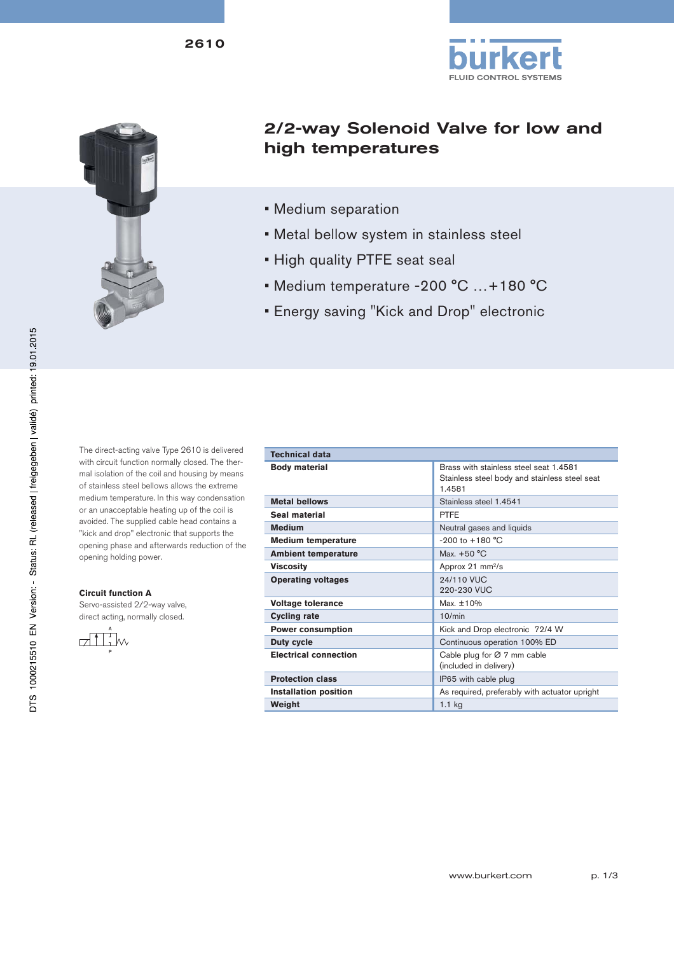



# 2/2-way Solenoid Valve for low and high temperatures

• Medium separation

**Technical data** 

- Metal bellow system in stainless steel
- High quality PTFE seat seal
- Medium temperature -200 °C …+180 °C
- Energy saving "Kick and Drop" electronic

The direct-acting valve Type 2610 is delivered with circuit function normally closed. The thermal isolation of the coil and housing by means of stainless steel bellows allows the extreme medium temperature. In this way condensation or an unacceptable heating up of the coil is avoided. The supplied cable head contains a "kick and drop" electronic that supports the opening phase and afterwards reduction of the opening holding power.

#### **Circuit function A**

Servo-assisted 2/2-way valve, direct acting, normally closed.



| Technical oata               |                                                                                                   |  |  |
|------------------------------|---------------------------------------------------------------------------------------------------|--|--|
| <b>Body material</b>         | Brass with stainless steel seat 1.4581<br>Stainless steel body and stainless steel seat<br>1.4581 |  |  |
| <b>Metal bellows</b>         | Stainless steel 1.4541                                                                            |  |  |
| Seal material                | <b>PTFF</b>                                                                                       |  |  |
| <b>Medium</b>                | Neutral gases and liquids                                                                         |  |  |
| <b>Medium temperature</b>    | $-200$ to $+180$ °C                                                                               |  |  |
| <b>Ambient temperature</b>   | Max. $+50 °C$                                                                                     |  |  |
| <b>Viscosity</b>             | Approx 21 $mm^2/s$                                                                                |  |  |
| <b>Operating voltages</b>    | 94/110 VIIC<br>220-230 VUC                                                                        |  |  |
| <b>Voltage tolerance</b>     | Max. $±10%$                                                                                       |  |  |
| <b>Cycling rate</b>          | 10/min                                                                                            |  |  |
| <b>Power consumption</b>     | Kick and Drop electronic 72/4 W                                                                   |  |  |
| Duty cycle                   | Continuous operation 100% ED                                                                      |  |  |
| <b>Electrical connection</b> | Cable plug for $\varnothing$ 7 mm cable<br>(included in delivery)                                 |  |  |
| <b>Protection class</b>      | IP65 with cable plug                                                                              |  |  |
| <b>Installation position</b> | As required, preferably with actuator upright                                                     |  |  |
| Weight                       | $1.1$ kg                                                                                          |  |  |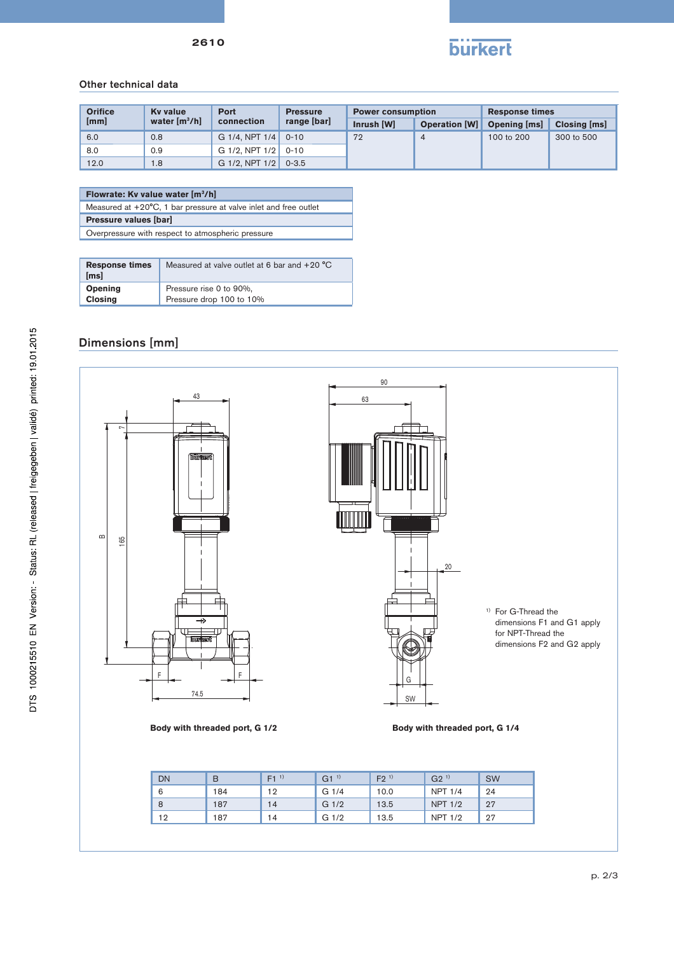

### Other technical data

|  | <b>Orifice</b> | <b>Ky value</b> | <b>Port</b>         | <b>Pressure</b> | <b>Power consumption</b> |                                   | <b>Response times</b> |              |
|--|----------------|-----------------|---------------------|-----------------|--------------------------|-----------------------------------|-----------------------|--------------|
|  | [mm]           | water $[m^3/h]$ | connection          | range [bar]     | Inrush [W]               | <b>Operation [W] Opening [ms]</b> |                       | Closing [ms] |
|  | 6.0            | 0.8             | G $1/4$ . NPT $1/4$ | $0 - 10$        | 72                       | $\overline{4}$                    | 100 to 200            | 300 to 500   |
|  | 8.0            | 0.9             | G $1/2$ . NPT $1/2$ | $0 - 10$        |                          |                                   |                       |              |
|  | 12.0           | 1.8             | G $1/2$ . NPT $1/2$ | $0 - 3.5$       |                          |                                   |                       |              |

#### **Flowrate: Kv value water [m3/h]**

Measured at +20°C, 1 bar pressure at valve inlet and free outlet

**Pressure values [bar]** 

Overpressure with respect to atmospheric pressure

| <b>Response times</b><br>[ms] | Measured at valve outlet at 6 bar and $+20$ °C |
|-------------------------------|------------------------------------------------|
| Opening                       | Pressure rise 0 to 90%,                        |
| <b>Closing</b>                | Pressure drop 100 to 10%                       |

## Dimensions [mm]



| DN | B   | $F1^{(1)}$ | $G1^{1}$         | $F2^{(1)}$ | G2 <sup>1</sup> | <b>SW</b> |
|----|-----|------------|------------------|------------|-----------------|-----------|
| 6  | 184 | 12         | G <sub>1/4</sub> | 10.0       | <b>NPT 1/4</b>  | 24        |
| 8  | 187 | 14         | G <sub>1/2</sub> | 13.5       | <b>NPT 1/2</b>  | 27        |
| 12 | 187 | 14         | G <sub>1/2</sub> | 13.5       | <b>NPT 1/2</b>  | 27        |